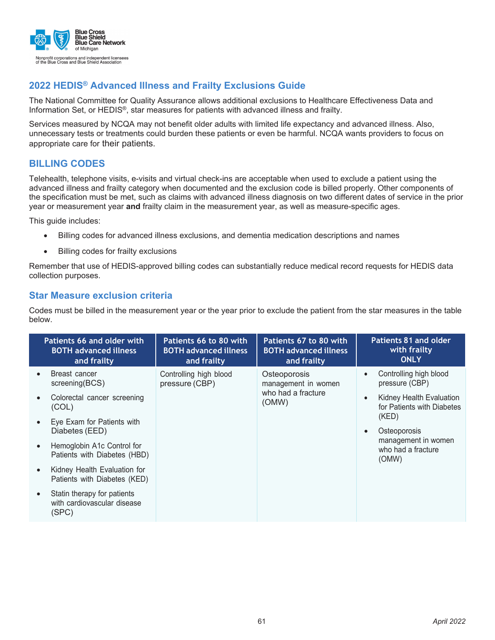

The National Committee for Quality Assurance allows additional exclusions to Healthcare Effectiveness Data and Information Set, or HEDIS®, star measures for patients with advanced illness and frailty.

Services measured by NCQA may not benefit older adults with limited life expectancy and advanced illness. Also, unnecessary tests or treatments could burden these patients or even be harmful. NCQA wants providers to focus on appropriate care for their patients.

### **BILLING CODES**

Telehealth, telephone visits, e-visits and virtual check-ins are acceptable when used to exclude a patient using the advanced illness and frailty category when documented and the exclusion code is billed properly. Other components of the specification must be met, such as claims with advanced illness diagnosis on two different dates of service in the prior year or measurement year **and** frailty claim in the measurement year, as well as measure-specific ages.

This guide includes:

- Billing codes for advanced illness exclusions, and dementia medication descriptions and names
- Billing codes for frailty exclusions

Remember that use of HEDIS-approved billing codes can substantially reduce medical record requests for HEDIS data collection purposes.

#### **Star Measure exclusion criteria**

Codes must be billed in the measurement year or the year prior to exclude the patient from the star measures in the table below.

| Patients 66 and older with<br><b>BOTH advanced illness</b><br>and frailty | Patients 66 to 80 with<br><b>BOTH advanced illness</b><br>and frailty | Patients 67 to 80 with<br><b>BOTH advanced illness</b><br>and frailty | Patients 81 and older<br>with frailty<br><b>ONLY</b>                |
|---------------------------------------------------------------------------|-----------------------------------------------------------------------|-----------------------------------------------------------------------|---------------------------------------------------------------------|
| Breast cancer<br>screening(BCS)                                           | Controlling high blood<br>pressure (CBP)                              | Osteoporosis<br>management in women                                   | Controlling high blood<br>pressure (CBP)                            |
| Colorectal cancer screening<br>(COL)                                      |                                                                       | who had a fracture<br>(OMW)                                           | Kidney Health Evaluation<br>$\bullet$<br>for Patients with Diabetes |
| Eye Exam for Patients with<br>Diabetes (EED)                              |                                                                       |                                                                       | (KED)<br>Osteoporosis                                               |
| Hemoglobin A1c Control for<br>Patients with Diabetes (HBD)                |                                                                       |                                                                       | management in women<br>who had a fracture<br>(OMW)                  |
| Kidney Health Evaluation for<br>Patients with Diabetes (KED)              |                                                                       |                                                                       |                                                                     |
| Statin therapy for patients<br>with cardiovascular disease<br>(SPC)       |                                                                       |                                                                       |                                                                     |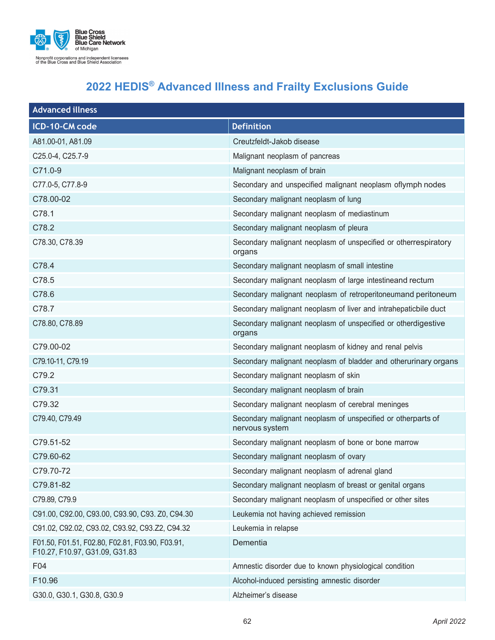

| <b>Advanced illness</b>                                                           |                                                                                |  |
|-----------------------------------------------------------------------------------|--------------------------------------------------------------------------------|--|
| ICD-10-CM code                                                                    | <b>Definition</b>                                                              |  |
| A81.00-01, A81.09                                                                 | Creutzfeldt-Jakob disease                                                      |  |
| C25.0-4, C25.7-9                                                                  | Malignant neoplasm of pancreas                                                 |  |
| $C71.0 - 9$                                                                       | Malignant neoplasm of brain                                                    |  |
| C77.0-5, C77.8-9                                                                  | Secondary and unspecified malignant neoplasm oflymph nodes                     |  |
| C78.00-02                                                                         | Secondary malignant neoplasm of lung                                           |  |
| C78.1                                                                             | Secondary malignant neoplasm of mediastinum                                    |  |
| C78.2                                                                             | Secondary malignant neoplasm of pleura                                         |  |
| C78.30, C78.39                                                                    | Secondary malignant neoplasm of unspecified or otherrespiratory<br>organs      |  |
| C78.4                                                                             | Secondary malignant neoplasm of small intestine                                |  |
| C78.5                                                                             | Secondary malignant neoplasm of large intestineand rectum                      |  |
| C78.6                                                                             | Secondary malignant neoplasm of retroperitoneumand peritoneum                  |  |
| C78.7                                                                             | Secondary malignant neoplasm of liver and intrahepaticbile duct                |  |
| C78.80, C78.89                                                                    | Secondary malignant neoplasm of unspecified or otherdigestive<br>organs        |  |
| C79.00-02                                                                         | Secondary malignant neoplasm of kidney and renal pelvis                        |  |
| C79.10-11, C79.19                                                                 | Secondary malignant neoplasm of bladder and otherurinary organs                |  |
| C79.2                                                                             | Secondary malignant neoplasm of skin                                           |  |
| C79.31                                                                            | Secondary malignant neoplasm of brain                                          |  |
| C79.32                                                                            | Secondary malignant neoplasm of cerebral meninges                              |  |
| C79.40, C79.49                                                                    | Secondary malignant neoplasm of unspecified or otherparts of<br>nervous system |  |
| C79.51-52                                                                         | Secondary malignant neoplasm of bone or bone marrow                            |  |
| C79.60-62                                                                         | Secondary malignant neoplasm of ovary                                          |  |
| C79.70-72                                                                         | Secondary malignant neoplasm of adrenal gland                                  |  |
| C79.81-82                                                                         | Secondary malignant neoplasm of breast or genital organs                       |  |
| C79.89, C79.9                                                                     | Secondary malignant neoplasm of unspecified or other sites                     |  |
| C91.00, C92.00, C93.00, C93.90, C93. Z0, C94.30                                   | Leukemia not having achieved remission                                         |  |
| C91.02, C92.02, C93.02, C93.92, C93.Z2, C94.32                                    | Leukemia in relapse                                                            |  |
| F01.50, F01.51, F02.80, F02.81, F03.90, F03.91,<br>F10.27, F10.97, G31.09, G31.83 | Dementia                                                                       |  |
| F04                                                                               | Amnestic disorder due to known physiological condition                         |  |
| F10.96                                                                            | Alcohol-induced persisting amnestic disorder                                   |  |
| G30.0, G30.1, G30.8, G30.9                                                        | Alzheimer's disease                                                            |  |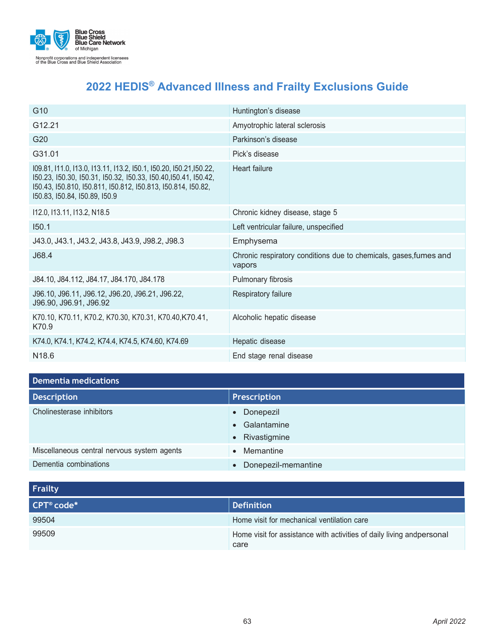

| G <sub>10</sub>                                                                                                                                                                                                                         | Huntington's disease                                                        |
|-----------------------------------------------------------------------------------------------------------------------------------------------------------------------------------------------------------------------------------------|-----------------------------------------------------------------------------|
| G12.21                                                                                                                                                                                                                                  | Amyotrophic lateral sclerosis                                               |
| G <sub>20</sub>                                                                                                                                                                                                                         | Parkinson's disease                                                         |
| G31.01                                                                                                                                                                                                                                  | Pick's disease                                                              |
| 109.81, 111.0, 113.0, 113.11, 113.2, 150.1, 150.20, 150.21, 150.22,<br>150.23, 150.30, 150.31, 150.32, 150.33, 150.40, 150.41, 150.42,<br>150.43, 150.810, 150.811, 150.812, 150.813, 150.814, 150.82,<br>150.83, 150.84, 150.89, 150.9 | <b>Heart failure</b>                                                        |
| I12.0, I13.11, I13.2, N18.5                                                                                                                                                                                                             | Chronic kidney disease, stage 5                                             |
| 150.1                                                                                                                                                                                                                                   | Left ventricular failure, unspecified                                       |
| J43.0, J43.1, J43.2, J43.8, J43.9, J98.2, J98.3                                                                                                                                                                                         | Emphysema                                                                   |
| J68.4                                                                                                                                                                                                                                   | Chronic respiratory conditions due to chemicals, gases, fumes and<br>vapors |
| J84.10, J84.112, J84.17, J84.170, J84.178                                                                                                                                                                                               | Pulmonary fibrosis                                                          |
| J96.10, J96.11, J96.12, J96.20, J96.21, J96.22,<br>J96.90, J96.91, J96.92                                                                                                                                                               | Respiratory failure                                                         |
| K70.10, K70.11, K70.2, K70.30, K70.31, K70.40, K70.41,<br>K70.9                                                                                                                                                                         | Alcoholic hepatic disease                                                   |
| K74.0, K74.1, K74.2, K74.4, K74.5, K74.60, K74.69                                                                                                                                                                                       | Hepatic disease                                                             |
| N18.6                                                                                                                                                                                                                                   | End stage renal disease                                                     |

### **Dementia medications**

| Prescription        |  |  |
|---------------------|--|--|
| • Donepezil         |  |  |
| • Galantamine       |  |  |
| • Rivastigmine      |  |  |
| Memantine           |  |  |
| Donepezil-memantine |  |  |
|                     |  |  |

| Frailty                |                                                                               |  |
|------------------------|-------------------------------------------------------------------------------|--|
| CPT <sup>®</sup> code* | <b>Definition</b>                                                             |  |
| 99504                  | Home visit for mechanical ventilation care                                    |  |
| 99509                  | Home visit for assistance with activities of daily living andpersonal<br>care |  |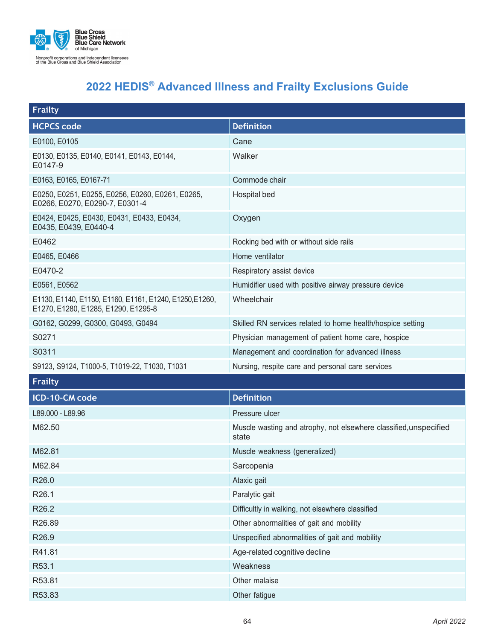

| <b>Frailty</b>                                                                                 |                                                                            |
|------------------------------------------------------------------------------------------------|----------------------------------------------------------------------------|
| <b>HCPCS code</b>                                                                              | <b>Definition</b>                                                          |
| E0100, E0105                                                                                   | Cane                                                                       |
| E0130, E0135, E0140, E0141, E0143, E0144,<br>E0147-9                                           | Walker                                                                     |
| E0163, E0165, E0167-71                                                                         | Commode chair                                                              |
| E0250, E0251, E0255, E0256, E0260, E0261, E0265,<br>E0266, E0270, E0290-7, E0301-4             | Hospital bed                                                               |
| E0424, E0425, E0430, E0431, E0433, E0434,<br>E0435, E0439, E0440-4                             | Oxygen                                                                     |
| E0462                                                                                          | Rocking bed with or without side rails                                     |
| E0465, E0466                                                                                   | Home ventilator                                                            |
| E0470-2                                                                                        | Respiratory assist device                                                  |
| E0561, E0562                                                                                   | Humidifier used with positive airway pressure device                       |
| E1130, E1140, E1150, E1160, E1161, E1240, E1250, E1260,<br>E1270, E1280, E1285, E1290, E1295-8 | Wheelchair                                                                 |
| G0162, G0299, G0300, G0493, G0494                                                              | Skilled RN services related to home health/hospice setting                 |
| S0271                                                                                          | Physician management of patient home care, hospice                         |
| S0311                                                                                          | Management and coordination for advanced illness                           |
| S9123, S9124, T1000-5, T1019-22, T1030, T1031                                                  | Nursing, respite care and personal care services                           |
| <b>Frailty</b>                                                                                 |                                                                            |
| ICD-10-CM code                                                                                 | <b>Definition</b>                                                          |
| L89.000 - L89.96                                                                               | Pressure ulcer                                                             |
| M62.50                                                                                         | Muscle wasting and atrophy, not elsewhere classified, unspecified<br>state |
| M62.81                                                                                         | Muscle weakness (generalized)                                              |
| M62.84                                                                                         | Sarcopenia                                                                 |
| R26.0                                                                                          | Ataxic gait                                                                |
| R26.1                                                                                          | Paralytic gait                                                             |
| R26.2                                                                                          | Difficultly in walking, not elsewhere classified                           |
| R26.89                                                                                         | Other abnormalities of gait and mobility                                   |
| R26.9                                                                                          | Unspecified abnormalities of gait and mobility                             |
| R41.81                                                                                         | Age-related cognitive decline                                              |
| R53.1                                                                                          | Weakness                                                                   |
| R53.81                                                                                         | Other malaise                                                              |
| R53.83                                                                                         | Other fatigue                                                              |